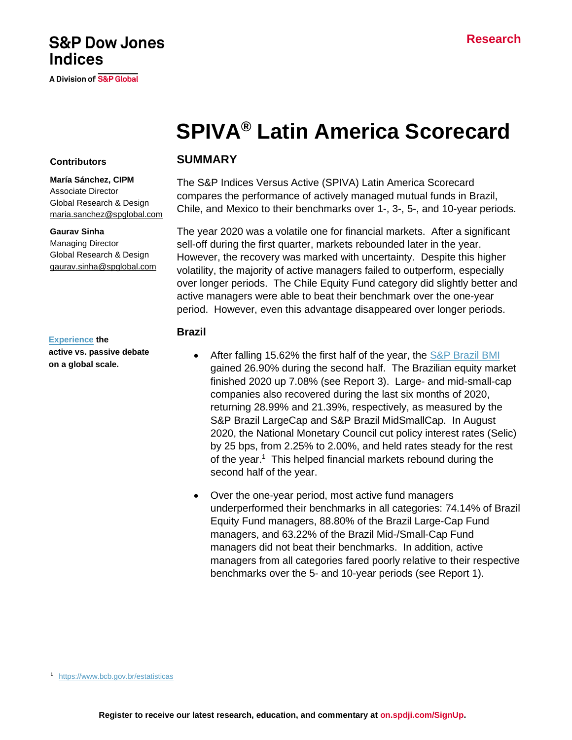# **SPIVA® Latin America Scorecard**

## **Contributors**

**Indices** 

**María Sánchez, CIPM** Associate Director Global Research & Design [maria.sanchez@spglobal.com](mailto:maria.sanchez@spglobal.com)

**S&P Dow Jones** 

**A Division of S&P Global** 

#### **Gaurav Sinha**

Managing Director Global Research & Design [gaurav.sinha@spglobal.com](mailto:berlinda.liu@spglobal.com)

#### **[Experience](https://www.spglobal.com/spdji/en/research-insights/spiva/) the**

**active vs. passive debate on a global scale.**

#### **SUMMARY**

The S&P Indices Versus Active (SPIVA) Latin America Scorecard compares the performance of actively managed mutual funds in Brazil, Chile, and Mexico to their benchmarks over 1-, 3-, 5-, and 10-year periods.

The year 2020 was a volatile one for financial markets. After a significant sell-off during the first quarter, markets rebounded later in the year. However, the recovery was marked with uncertainty. Despite this higher volatility, the majority of active managers failed to outperform, especially over longer periods. The Chile Equity Fund category did slightly better and active managers were able to beat their benchmark over the one-year period. However, even this advantage disappeared over longer periods.

#### **Brazil**

- After falling 15.62% the first half of the year, the  $S\&P$  Brazil BMI gained 26.90% during the second half. The Brazilian equity market finished 2020 up 7.08% (see Report 3). Large- and mid-small-cap companies also recovered during the last six months of 2020, returning 28.99% and 21.39%, respectively, as measured by the S&P Brazil LargeCap and S&P Brazil MidSmallCap. In August 2020, the National Monetary Council cut policy interest rates (Selic) by 25 bps, from 2.25% to 2.00%, and held rates steady for the rest of the year.<sup>1</sup> This helped financial markets rebound during the second half of the year.
- Over the one-year period, most active fund managers underperformed their benchmarks in all categories: 74.14% of Brazil Equity Fund managers, 88.80% of the Brazil Large-Cap Fund managers, and 63.22% of the Brazil Mid-/Small-Cap Fund managers did not beat their benchmarks. In addition, active managers from all categories fared poorly relative to their respective benchmarks over the 5- and 10-year periods (see Report 1).

<sup>1</sup> <https://www.bcb.gov.br/estatisticas>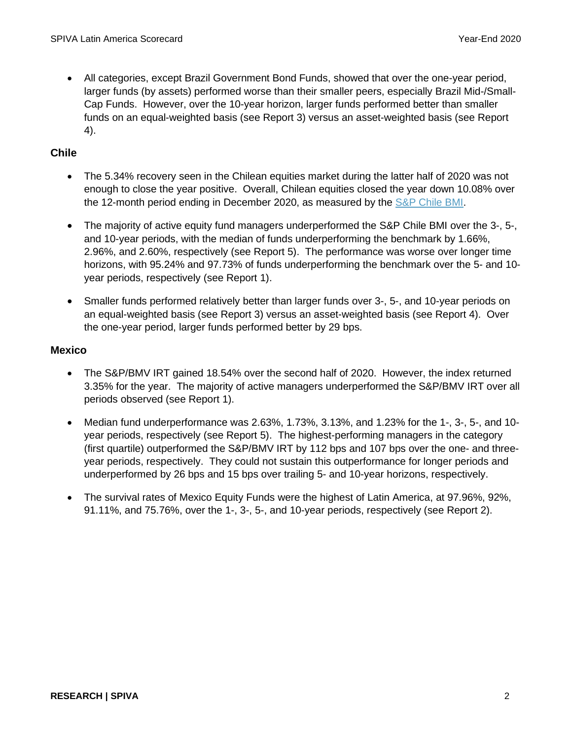• All categories, except Brazil Government Bond Funds, showed that over the one-year period, larger funds (by assets) performed worse than their smaller peers, especially Brazil Mid-/Small-Cap Funds. However, over the 10-year horizon, larger funds performed better than smaller funds on an equal-weighted basis (see Report 3) versus an asset-weighted basis (see Report 4).

## **Chile**

- The 5.34% recovery seen in the Chilean equities market during the latter half of 2020 was not enough to close the year positive. Overall, Chilean equities closed the year down 10.08% over the 12-month period ending in December 2020, as measured by the [S&P Chile BMI.](https://www.spglobal.com/spdji/en/indices/equity/sp-chile-bmi/)
- The majority of active equity fund managers underperformed the [S&P Chile BMI](http://spindices.com/indices/equity/sp-chile-bmi-usd) over the 3-, 5-, and 10-year periods, with the median of funds underperforming the benchmark by 1.66%, 2.96%, and 2.60%, respectively (see Report 5). The performance was worse over longer time horizons, with 95.24% and 97.73% of funds underperforming the benchmark over the 5- and 10 year periods, respectively (see Report 1).
- Smaller funds performed relatively better than larger funds over 3-, 5-, and 10-year periods on an equal-weighted basis (see Report 3) versus an asset-weighted basis (see Report 4). Over the one-year period, larger funds performed better by 29 bps.

## **Mexico**

- The S&P/BMV IRT gained 18.54% over the second half of 2020. However, the index returned 3.35% for the year. The majority of active managers underperformed the S&P/BMV IRT over all periods observed (see Report 1).
- Median fund underperformance was 2.63%, 1.73%, 3.13%, and 1.23% for the 1-, 3-, 5-, and 10 year periods, respectively (see Report 5). The highest-performing managers in the category (first quartile) outperformed the S&P/BMV IRT by 112 bps and 107 bps over the one- and threeyear periods, respectively. They could not sustain this outperformance for longer periods and underperformed by 26 bps and 15 bps over trailing 5- and 10-year horizons, respectively.
- The survival rates of Mexico Equity Funds were the highest of Latin America, at 97.96%, 92%, 91.11%, and 75.76%, over the 1-, 3-, 5-, and 10-year periods, respectively (see Report 2).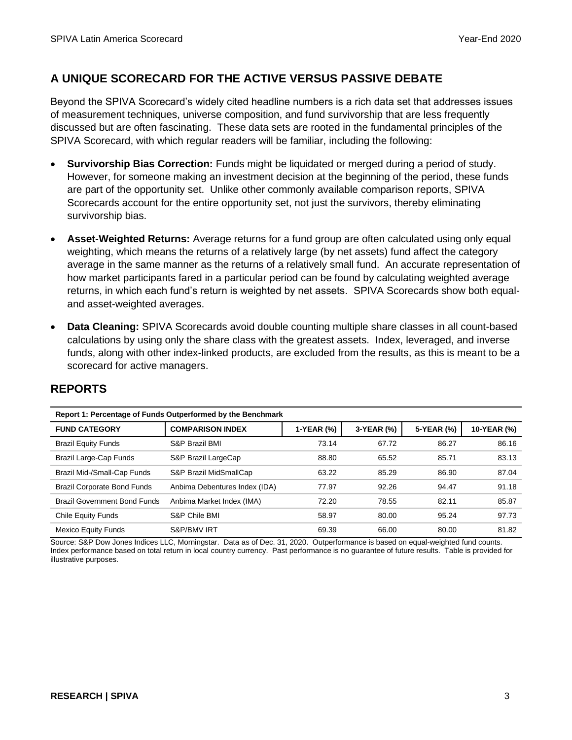# **A UNIQUE SCORECARD FOR THE ACTIVE VERSUS PASSIVE DEBATE**

Beyond the SPIVA Scorecard's widely cited headline numbers is a rich data set that addresses issues of measurement techniques, universe composition, and fund survivorship that are less frequently discussed but are often fascinating. These data sets are rooted in the fundamental principles of the SPIVA Scorecard, with which regular readers will be familiar, including the following:

- **Survivorship Bias Correction:** Funds might be liquidated or merged during a period of study. However, for someone making an investment decision at the beginning of the period, these funds are part of the opportunity set. Unlike other commonly available comparison reports, SPIVA Scorecards account for the entire opportunity set, not just the survivors, thereby eliminating survivorship bias.
- **Asset-Weighted Returns:** Average returns for a fund group are often calculated using only equal weighting, which means the returns of a relatively large (by net assets) fund affect the category average in the same manner as the returns of a relatively small fund. An accurate representation of how market participants fared in a particular period can be found by calculating weighted average returns, in which each fund's return is weighted by net assets. SPIVA Scorecards show both equaland asset-weighted averages.
- **Data Cleaning:** SPIVA Scorecards avoid double counting multiple share classes in all count-based calculations by using only the share class with the greatest assets. Index, leveraged, and inverse funds, along with other index-linked products, are excluded from the results, as this is meant to be a scorecard for active managers.

| Report 1: Percentage of Funds Outperformed by the Benchmark |                               |            |            |            |             |
|-------------------------------------------------------------|-------------------------------|------------|------------|------------|-------------|
| <b>FUND CATEGORY</b>                                        | <b>COMPARISON INDEX</b>       | 1-YEAR (%) | 3-YEAR (%) | 5-YEAR (%) | 10-YEAR (%) |
| <b>Brazil Equity Funds</b>                                  | <b>S&amp;P Brazil BMI</b>     | 73.14      | 67.72      | 86.27      | 86.16       |
| Brazil Large-Cap Funds                                      | S&P Brazil LargeCap           | 88.80      | 65.52      | 85.71      | 83.13       |
| Brazil Mid-/Small-Cap Funds                                 | S&P Brazil MidSmallCap        | 63.22      | 85.29      | 86.90      | 87.04       |
| <b>Brazil Corporate Bond Funds</b>                          | Anbima Debentures Index (IDA) | 77.97      | 92.26      | 94.47      | 91.18       |
| <b>Brazil Government Bond Funds</b>                         | Anbima Market Index (IMA)     | 72.20      | 78.55      | 82.11      | 85.87       |
| Chile Equity Funds                                          | S&P Chile BMI                 | 58.97      | 80.00      | 95.24      | 97.73       |
| <b>Mexico Equity Funds</b>                                  | <b>S&amp;P/BMV IRT</b>        | 69.39      | 66.00      | 80.00      | 81.82       |

# **REPORTS**

Source: S&P Dow Jones Indices LLC, Morningstar. Data as of Dec. 31, 2020. Outperformance is based on equal-weighted fund counts. Index performance based on total return in local country currency. Past performance is no guarantee of future results. Table is provided for illustrative purposes.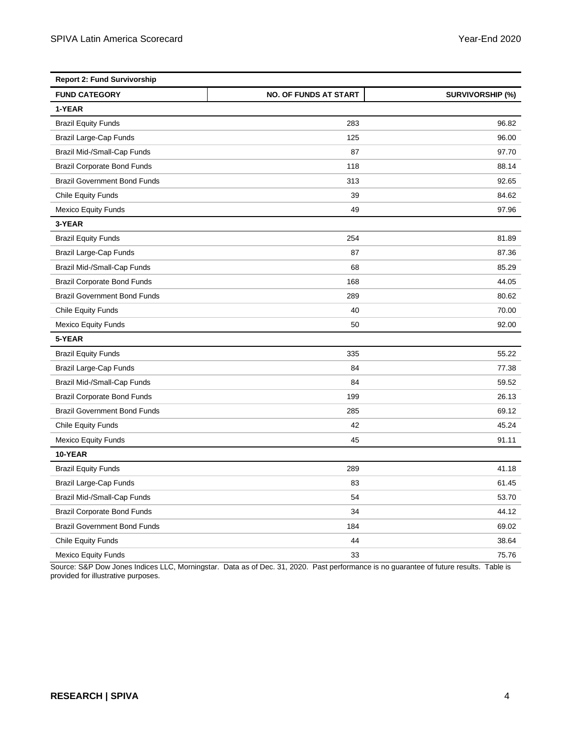| <b>Report 2: Fund Survivorship</b>  |                              |                         |  |
|-------------------------------------|------------------------------|-------------------------|--|
| <b>FUND CATEGORY</b>                | <b>NO. OF FUNDS AT START</b> | <b>SURVIVORSHIP (%)</b> |  |
| 1-YEAR                              |                              |                         |  |
| <b>Brazil Equity Funds</b>          | 283                          | 96.82                   |  |
| Brazil Large-Cap Funds              | 125                          | 96.00                   |  |
| Brazil Mid-/Small-Cap Funds         | 87                           | 97.70                   |  |
| <b>Brazil Corporate Bond Funds</b>  | 118                          | 88.14                   |  |
| <b>Brazil Government Bond Funds</b> | 313                          | 92.65                   |  |
| <b>Chile Equity Funds</b>           | 39                           | 84.62                   |  |
| <b>Mexico Equity Funds</b>          | 49                           | 97.96                   |  |
| 3-YEAR                              |                              |                         |  |
| <b>Brazil Equity Funds</b>          | 254                          | 81.89                   |  |
| Brazil Large-Cap Funds              | 87                           | 87.36                   |  |
| Brazil Mid-/Small-Cap Funds         | 68                           | 85.29                   |  |
| <b>Brazil Corporate Bond Funds</b>  | 168                          | 44.05                   |  |
| <b>Brazil Government Bond Funds</b> | 289                          | 80.62                   |  |
| <b>Chile Equity Funds</b>           | 40                           | 70.00                   |  |
| <b>Mexico Equity Funds</b>          | 50                           | 92.00                   |  |
| 5-YEAR                              |                              |                         |  |
| <b>Brazil Equity Funds</b>          | 335                          | 55.22                   |  |
| Brazil Large-Cap Funds              | 84                           | 77.38                   |  |
| Brazil Mid-/Small-Cap Funds         | 84                           | 59.52                   |  |
| <b>Brazil Corporate Bond Funds</b>  | 199                          | 26.13                   |  |
| <b>Brazil Government Bond Funds</b> | 285                          | 69.12                   |  |
| <b>Chile Equity Funds</b>           | 42                           | 45.24                   |  |
| <b>Mexico Equity Funds</b>          | 45                           | 91.11                   |  |
| 10-YEAR                             |                              |                         |  |
| <b>Brazil Equity Funds</b>          | 289                          | 41.18                   |  |
| Brazil Large-Cap Funds              | 83                           | 61.45                   |  |
| Brazil Mid-/Small-Cap Funds         | 54                           | 53.70                   |  |
| <b>Brazil Corporate Bond Funds</b>  | 34                           | 44.12                   |  |
| <b>Brazil Government Bond Funds</b> | 184                          | 69.02                   |  |
| <b>Chile Equity Funds</b>           | 44                           | 38.64                   |  |
| <b>Mexico Equity Funds</b>          | 33                           | 75.76                   |  |

Source: S&P Dow Jones Indices LLC, Morningstar. Data as of Dec. 31, 2020. Past performance is no guarantee of future results. Table is provided for illustrative purposes.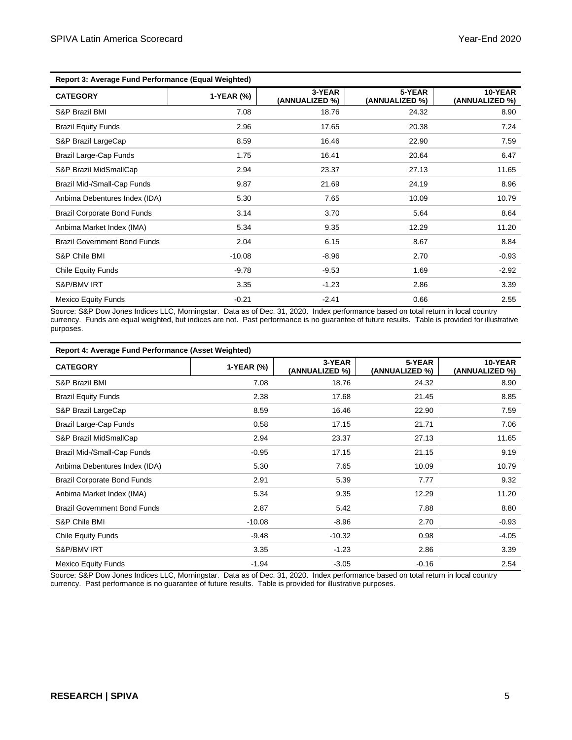| <b>Report 3: Average Fund Performance (Equal Weighted)</b> |            |                          |                          |                           |
|------------------------------------------------------------|------------|--------------------------|--------------------------|---------------------------|
| <b>CATEGORY</b>                                            | 1-YEAR (%) | 3-YEAR<br>(ANNUALIZED %) | 5-YEAR<br>(ANNUALIZED %) | 10-YEAR<br>(ANNUALIZED %) |
| S&P Brazil BMI                                             | 7.08       | 18.76                    | 24.32                    | 8.90                      |
| <b>Brazil Equity Funds</b>                                 | 2.96       | 17.65                    | 20.38                    | 7.24                      |
| S&P Brazil LargeCap                                        | 8.59       | 16.46                    | 22.90                    | 7.59                      |
| Brazil Large-Cap Funds                                     | 1.75       | 16.41                    | 20.64                    | 6.47                      |
| S&P Brazil MidSmallCap                                     | 2.94       | 23.37                    | 27.13                    | 11.65                     |
| Brazil Mid-/Small-Cap Funds                                | 9.87       | 21.69                    | 24.19                    | 8.96                      |
| Anbima Debentures Index (IDA)                              | 5.30       | 7.65                     | 10.09                    | 10.79                     |
| <b>Brazil Corporate Bond Funds</b>                         | 3.14       | 3.70                     | 5.64                     | 8.64                      |
| Anbima Market Index (IMA)                                  | 5.34       | 9.35                     | 12.29                    | 11.20                     |
| <b>Brazil Government Bond Funds</b>                        | 2.04       | 6.15                     | 8.67                     | 8.84                      |
| S&P Chile BMI                                              | $-10.08$   | $-8.96$                  | 2.70                     | $-0.93$                   |
| <b>Chile Equity Funds</b>                                  | $-9.78$    | $-9.53$                  | 1.69                     | $-2.92$                   |
| S&P/BMV IRT                                                | 3.35       | $-1.23$                  | 2.86                     | 3.39                      |
| <b>Mexico Equity Funds</b>                                 | $-0.21$    | $-2.41$                  | 0.66                     | 2.55                      |

Source: S&P Dow Jones Indices LLC, Morningstar. Data as of Dec. 31, 2020. Index performance based on total return in local country currency. Funds are equal weighted, but indices are not. Past performance is no guarantee of future results. Table is provided for illustrative purposes.

| Report 4: Average Fund Performance (Asset Weighted) |            |                          |                          |                           |
|-----------------------------------------------------|------------|--------------------------|--------------------------|---------------------------|
| <b>CATEGORY</b>                                     | 1-YEAR (%) | 3-YEAR<br>(ANNUALIZED %) | 5-YEAR<br>(ANNUALIZED %) | 10-YEAR<br>(ANNUALIZED %) |
| S&P Brazil BMI                                      | 7.08       | 18.76                    | 24.32                    | 8.90                      |
| <b>Brazil Equity Funds</b>                          | 2.38       | 17.68                    | 21.45                    | 8.85                      |
| S&P Brazil LargeCap                                 | 8.59       | 16.46                    | 22.90                    | 7.59                      |
| Brazil Large-Cap Funds                              | 0.58       | 17.15                    | 21.71                    | 7.06                      |
| S&P Brazil MidSmallCap                              | 2.94       | 23.37                    | 27.13                    | 11.65                     |
| Brazil Mid-/Small-Cap Funds                         | $-0.95$    | 17.15                    | 21.15                    | 9.19                      |
| Anbima Debentures Index (IDA)                       | 5.30       | 7.65                     | 10.09                    | 10.79                     |
| <b>Brazil Corporate Bond Funds</b>                  | 2.91       | 5.39                     | 7.77                     | 9.32                      |
| Anbima Market Index (IMA)                           | 5.34       | 9.35                     | 12.29                    | 11.20                     |
| <b>Brazil Government Bond Funds</b>                 | 2.87       | 5.42                     | 7.88                     | 8.80                      |
| S&P Chile BMI                                       | $-10.08$   | $-8.96$                  | 2.70                     | $-0.93$                   |
| <b>Chile Equity Funds</b>                           | $-9.48$    | $-10.32$                 | 0.98                     | $-4.05$                   |
| S&P/BMV IRT                                         | 3.35       | $-1.23$                  | 2.86                     | 3.39                      |
| <b>Mexico Equity Funds</b>                          | $-1.94$    | $-3.05$                  | $-0.16$                  | 2.54                      |

Source: S&P Dow Jones Indices LLC, Morningstar. Data as of Dec. 31, 2020. Index performance based on total return in local country currency. Past performance is no guarantee of future results. Table is provided for illustrative purposes.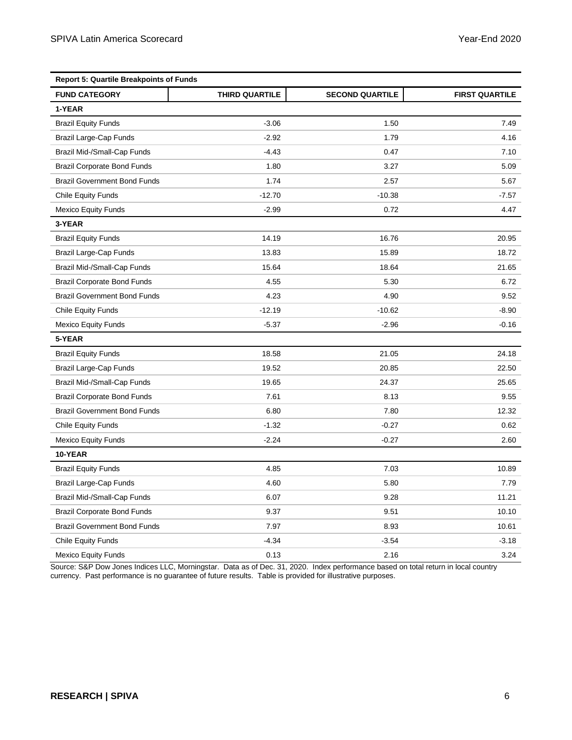| <b>Report 5: Quartile Breakpoints of Funds</b> |                |                        |                       |  |
|------------------------------------------------|----------------|------------------------|-----------------------|--|
| <b>FUND CATEGORY</b>                           | THIRD QUARTILE | <b>SECOND QUARTILE</b> | <b>FIRST QUARTILE</b> |  |
| 1-YEAR                                         |                |                        |                       |  |
| <b>Brazil Equity Funds</b>                     | $-3.06$        | 1.50                   | 7.49                  |  |
| Brazil Large-Cap Funds                         | $-2.92$        | 1.79                   | 4.16                  |  |
| Brazil Mid-/Small-Cap Funds                    | $-4.43$        | 0.47                   | 7.10                  |  |
| <b>Brazil Corporate Bond Funds</b>             | 1.80           | 3.27                   | 5.09                  |  |
| <b>Brazil Government Bond Funds</b>            | 1.74           | 2.57                   | 5.67                  |  |
| <b>Chile Equity Funds</b>                      | $-12.70$       | $-10.38$               | $-7.57$               |  |
| <b>Mexico Equity Funds</b>                     | $-2.99$        | 0.72                   | 4.47                  |  |
| 3-YEAR                                         |                |                        |                       |  |
| <b>Brazil Equity Funds</b>                     | 14.19          | 16.76                  | 20.95                 |  |
| Brazil Large-Cap Funds                         | 13.83          | 15.89                  | 18.72                 |  |
| Brazil Mid-/Small-Cap Funds                    | 15.64          | 18.64                  | 21.65                 |  |
| <b>Brazil Corporate Bond Funds</b>             | 4.55           | 5.30                   | 6.72                  |  |
| <b>Brazil Government Bond Funds</b>            | 4.23           | 4.90                   | 9.52                  |  |
| <b>Chile Equity Funds</b>                      | $-12.19$       | $-10.62$               | $-8.90$               |  |
| <b>Mexico Equity Funds</b>                     | $-5.37$        | $-2.96$                | $-0.16$               |  |
| 5-YEAR                                         |                |                        |                       |  |
| <b>Brazil Equity Funds</b>                     | 18.58          | 21.05                  | 24.18                 |  |
| Brazil Large-Cap Funds                         | 19.52          | 20.85                  | 22.50                 |  |
| Brazil Mid-/Small-Cap Funds                    | 19.65          | 24.37                  | 25.65                 |  |
| <b>Brazil Corporate Bond Funds</b>             | 7.61           | 8.13                   | 9.55                  |  |
| <b>Brazil Government Bond Funds</b>            | 6.80           | 7.80                   | 12.32                 |  |
| <b>Chile Equity Funds</b>                      | $-1.32$        | $-0.27$                | 0.62                  |  |
| <b>Mexico Equity Funds</b>                     | $-2.24$        | $-0.27$                | 2.60                  |  |
| 10-YEAR                                        |                |                        |                       |  |
| <b>Brazil Equity Funds</b>                     | 4.85           | 7.03                   | 10.89                 |  |
| Brazil Large-Cap Funds                         | 4.60           | 5.80                   | 7.79                  |  |
| Brazil Mid-/Small-Cap Funds                    | 6.07           | 9.28                   | 11.21                 |  |
| <b>Brazil Corporate Bond Funds</b>             | 9.37           | 9.51                   | 10.10                 |  |
| <b>Brazil Government Bond Funds</b>            | 7.97           | 8.93                   | 10.61                 |  |
| <b>Chile Equity Funds</b>                      | $-4.34$        | $-3.54$                | $-3.18$               |  |
| <b>Mexico Equity Funds</b>                     | 0.13           | 2.16                   | 3.24                  |  |

Source: S&P Dow Jones Indices LLC, Morningstar. Data as of Dec. 31, 2020. Index performance based on total return in local country currency. Past performance is no guarantee of future results. Table is provided for illustrative purposes.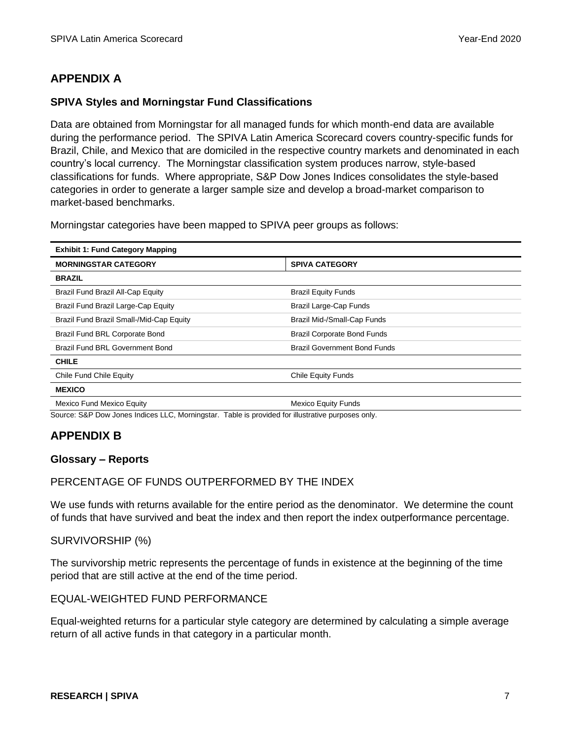# **APPENDIX A**

## **SPIVA Styles and Morningstar Fund Classifications**

Data are obtained from Morningstar for all managed funds for which month-end data are available during the performance period. The SPIVA Latin America Scorecard covers country-specific funds for Brazil, Chile, and Mexico that are domiciled in the respective country markets and denominated in each country's local currency. The Morningstar classification system produces narrow, style-based classifications for funds. Where appropriate, S&P Dow Jones Indices consolidates the style-based categories in order to generate a larger sample size and develop a broad-market comparison to market-based benchmarks.

Morningstar categories have been mapped to SPIVA peer groups as follows:

| <b>Exhibit 1: Fund Category Mapping</b>  |                                     |  |  |
|------------------------------------------|-------------------------------------|--|--|
| <b>MORNINGSTAR CATEGORY</b>              | <b>SPIVA CATEGORY</b>               |  |  |
| <b>BRAZIL</b>                            |                                     |  |  |
| Brazil Fund Brazil All-Cap Equity        | <b>Brazil Equity Funds</b>          |  |  |
| Brazil Fund Brazil Large-Cap Equity      | Brazil Large-Cap Funds              |  |  |
| Brazil Fund Brazil Small-/Mid-Cap Equity | Brazil Mid-/Small-Cap Funds         |  |  |
| Brazil Fund BRL Corporate Bond           | <b>Brazil Corporate Bond Funds</b>  |  |  |
| Brazil Fund BRL Government Bond          | <b>Brazil Government Bond Funds</b> |  |  |
| <b>CHILE</b>                             |                                     |  |  |
| Chile Fund Chile Equity                  | <b>Chile Equity Funds</b>           |  |  |
| <b>MEXICO</b>                            |                                     |  |  |
| <b>Mexico Fund Mexico Equity</b>         | <b>Mexico Equity Funds</b>          |  |  |

Source: S&P Dow Jones Indices LLC, Morningstar. Table is provided for illustrative purposes only.

## **APPENDIX B**

### **Glossary – Reports**

## PERCENTAGE OF FUNDS OUTPERFORMED BY THE INDEX

We use funds with returns available for the entire period as the denominator. We determine the count of funds that have survived and beat the index and then report the index outperformance percentage.

## SURVIVORSHIP (%)

The survivorship metric represents the percentage of funds in existence at the beginning of the time period that are still active at the end of the time period.

## EQUAL-WEIGHTED FUND PERFORMANCE

Equal-weighted returns for a particular style category are determined by calculating a simple average return of all active funds in that category in a particular month.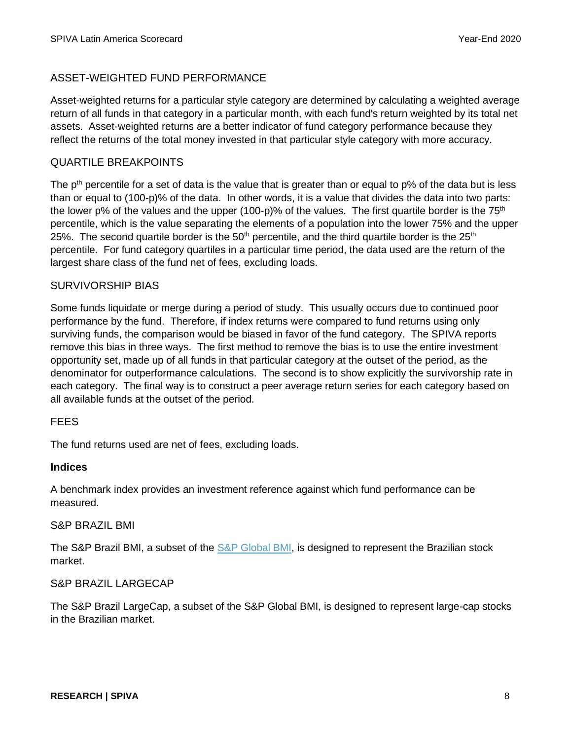## ASSET-WEIGHTED FUND PERFORMANCE

Asset-weighted returns for a particular style category are determined by calculating a weighted average return of all funds in that category in a particular month, with each fund's return weighted by its total net assets. Asset-weighted returns are a better indicator of fund category performance because they reflect the returns of the total money invested in that particular style category with more accuracy.

### QUARTILE BREAKPOINTS

The  $p<sup>th</sup>$  percentile for a set of data is the value that is greater than or equal to  $p\%$  of the data but is less than or equal to (100-p)% of the data. In other words, it is a value that divides the data into two parts: the lower p% of the values and the upper (100-p)% of the values. The first quartile border is the  $75<sup>th</sup>$ percentile, which is the value separating the elements of a population into the lower 75% and the upper 25%. The second quartile border is the  $50<sup>th</sup>$  percentile, and the third quartile border is the  $25<sup>th</sup>$ percentile. For fund category quartiles in a particular time period, the data used are the return of the largest share class of the fund net of fees, excluding loads.

#### SURVIVORSHIP BIAS

Some funds liquidate or merge during a period of study. This usually occurs due to continued poor performance by the fund. Therefore, if index returns were compared to fund returns using only surviving funds, the comparison would be biased in favor of the fund category. The SPIVA reports remove this bias in three ways. The first method to remove the bias is to use the entire investment opportunity set, made up of all funds in that particular category at the outset of the period, as the denominator for outperformance calculations. The second is to show explicitly the survivorship rate in each category. The final way is to construct a peer average return series for each category based on all available funds at the outset of the period.

#### FEES

The fund returns used are net of fees, excluding loads.

#### **Indices**

A benchmark index provides an investment reference against which fund performance can be measured.

#### S&P BRAZIL BMI

The S&P Brazil BMI, a subset of the [S&P Global BMI,](https://www.spglobal.com/spdji/en/indices/equity/sp-global-bmi/#overview) is designed to represent the Brazilian stock market.

#### S&P BRAZIL LARGECAP

The S&P Brazil LargeCap, a subset of the S&P Global BMI, is designed to represent large-cap stocks in the Brazilian market.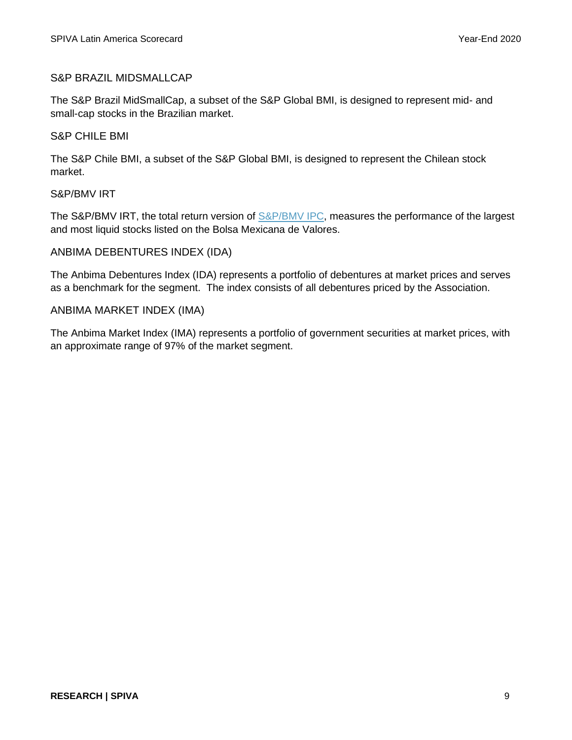## S&P BRAZIL MIDSMALLCAP

The S&P Brazil MidSmallCap, a subset of the S&P Global BMI, is designed to represent mid- and small-cap stocks in the Brazilian market.

### S&P CHILE BMI

The S&P Chile BMI, a subset of the S&P Global BMI, is designed to represent the Chilean stock market.

#### S&P/BMV IRT

The S&P/BMV IRT, the total return version of [S&P/BMV IPC,](https://www.spglobal.com/spdji/en/indices/equity/sp-bmv-ipc/#overview) measures the performance of the largest and most liquid stocks listed on the Bolsa Mexicana de Valores.

### ANBIMA DEBENTURES INDEX (IDA)

The Anbima Debentures Index (IDA) represents a portfolio of debentures at market prices and serves as a benchmark for the segment. The index consists of all debentures priced by the Association.

### ANBIMA MARKET INDEX (IMA)

The Anbima Market Index (IMA) represents a portfolio of government securities at market prices, with an approximate range of 97% of the market segment.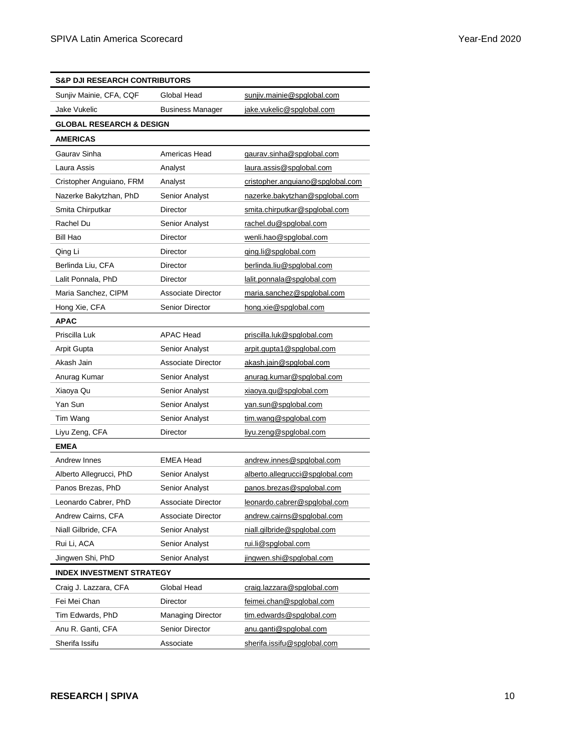| <b>S&amp;P DJI RESEARCH CONTRIBUTORS</b> |                           |                                  |  |
|------------------------------------------|---------------------------|----------------------------------|--|
| Sunjiv Mainie, CFA, CQF                  | Global Head               | sunjiv.mainie@spglobal.com       |  |
| Jake Vukelic                             | <b>Business Manager</b>   | jake.vukelic@spglobal.com        |  |
| <b>GLOBAL RESEARCH &amp; DESIGN</b>      |                           |                                  |  |
| <b>AMERICAS</b>                          |                           |                                  |  |
| Gaurav Sinha                             | Americas Head             | gaurav.sinha@spglobal.com        |  |
| Laura Assis                              | Analyst                   | laura.assis@spglobal.com         |  |
| Cristopher Anguiano, FRM                 | Analyst                   | cristopher.anguiano@spglobal.com |  |
| Nazerke Bakytzhan, PhD                   | Senior Analyst            | nazerke.bakytzhan@spglobal.com   |  |
| Smita Chirputkar                         | <b>Director</b>           | smita.chirputkar@spglobal.com    |  |
| Rachel Du                                | <b>Senior Analyst</b>     | rachel.du@spglobal.com           |  |
| Bill Hao                                 | <b>Director</b>           | wenli.hao@spglobal.com           |  |
| Qing Li                                  | <b>Director</b>           | ging.li@spglobal.com             |  |
| Berlinda Liu, CFA                        | <b>Director</b>           | berlinda.liu@spglobal.com        |  |
| Lalit Ponnala, PhD                       | <b>Director</b>           | lalit.ponnala@spglobal.com       |  |
| Maria Sanchez, CIPM                      | Associate Director        | maria.sanchez@spqlobal.com       |  |
| Hong Xie, CFA                            | <b>Senior Director</b>    | hong.xie@spglobal.com            |  |
| <b>APAC</b>                              |                           |                                  |  |
| Priscilla Luk                            | <b>APAC Head</b>          | priscilla.luk@spglobal.com       |  |
| Arpit Gupta                              | <b>Senior Analyst</b>     | arpit.gupta1@spglobal.com        |  |
| Akash Jain                               | <b>Associate Director</b> | akash.jain@spglobal.com          |  |
| Anurag Kumar                             | Senior Analyst            | anurag.kumar@spglobal.com        |  |
| Xiaoya Qu                                | Senior Analyst            | xiaoya.qu@spglobal.com           |  |
| Yan Sun                                  | Senior Analyst            | yan.sun@spglobal.com             |  |
| Tim Wang                                 | Senior Analyst            | tim.wang@spglobal.com            |  |
| Liyu Zeng, CFA                           | Director                  | liyu.zeng@spglobal.com           |  |
| <b>EMEA</b>                              |                           |                                  |  |
| Andrew Innes                             | <b>EMEA Head</b>          | andrew.innes@spglobal.com        |  |
| Alberto Allegrucci, PhD                  | Senior Analyst            | alberto.allegrucci@spglobal.com  |  |
| Panos Brezas, PhD                        | Senior Analyst            | panos.brezas@spglobal.com        |  |
| Leonardo Cabrer, PhD                     | Associate Director        | leonardo.cabrer@spglobal.com     |  |
| Andrew Cairns, CFA                       | <b>Associate Director</b> | andrew.cairns@spglobal.com       |  |
| Niall Gilbride, CFA                      | <b>Senior Analyst</b>     | niall.gilbride@spglobal.com      |  |
| Rui Li, ACA                              | <b>Senior Analyst</b>     | rui.li@spglobal.com              |  |
| Jingwen Shi, PhD                         | <b>Senior Analyst</b>     | jingwen.shi@spglobal.com         |  |
| <b>INDEX INVESTMENT STRATEGY</b>         |                           |                                  |  |
| Craig J. Lazzara, CFA                    | Global Head               | craig.lazzara@spglobal.com       |  |
| Fei Mei Chan                             | Director                  | feimei.chan@spglobal.com         |  |
| Tim Edwards, PhD                         | <b>Managing Director</b>  | tim.edwards@spglobal.com         |  |
| Anu R. Ganti, CFA                        | <b>Senior Director</b>    | anu.ganti@spglobal.com           |  |
| Sherifa Issifu                           | Associate                 | sherifa.issifu@spglobal.com      |  |